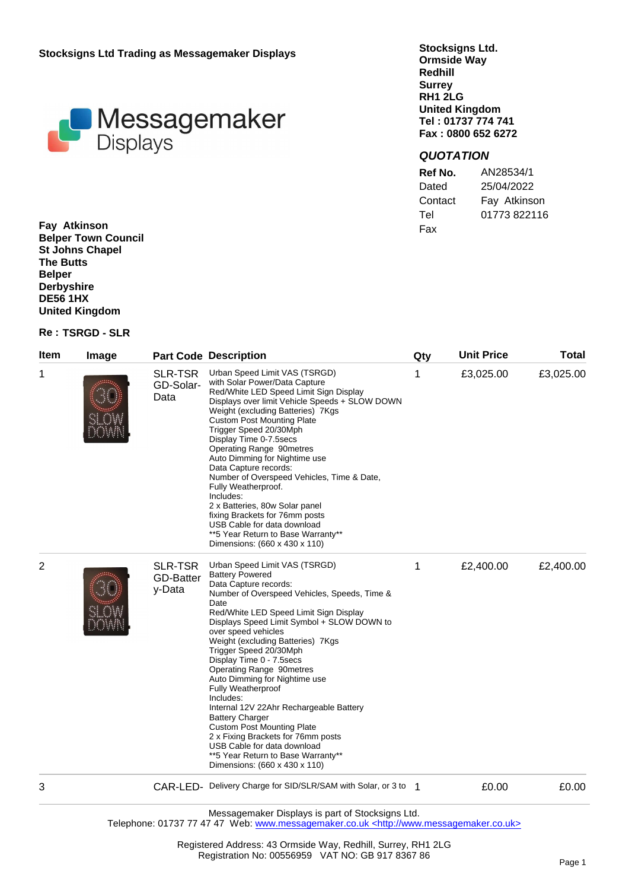**Stocksigns Ltd Trading as Messagemaker Displays**



**Stocksigns Ltd. Ormside Way Redhill Surrey RH1 2LG United Kingdom Tel : 01737 774 741 Fax : 0800 652 6272**

## *QUOTATION*

| Ref No. | AN28534/1    |
|---------|--------------|
| Dated   | 25/04/2022   |
| Contact | Fay Atkinson |
| Tel     | 01773822116  |
| Fax     |              |

**Fay Atkinson Belper Town Council St Johns Chapel The Butts Belper Derbyshire DE56 1HX United Kingdom**

## **Re : TSRGD - SLR**

| Item | Image |                                              | <b>Part Code Description</b>                                                                                                                                                                                                                                                                                                                                                                                                                                                                                                                                                                                                                                                                                           | Qty | <b>Unit Price</b> | <b>Total</b> |
|------|-------|----------------------------------------------|------------------------------------------------------------------------------------------------------------------------------------------------------------------------------------------------------------------------------------------------------------------------------------------------------------------------------------------------------------------------------------------------------------------------------------------------------------------------------------------------------------------------------------------------------------------------------------------------------------------------------------------------------------------------------------------------------------------------|-----|-------------------|--------------|
| 1    |       | <b>SLR-TSR</b><br>GD-Solar-<br>Data          | Urban Speed Limit VAS (TSRGD)<br>with Solar Power/Data Capture<br>Red/White LED Speed Limit Sign Display<br>Displays over limit Vehicle Speeds + SLOW DOWN<br>Weight (excluding Batteries) 7Kgs<br><b>Custom Post Mounting Plate</b><br>Trigger Speed 20/30Mph<br>Display Time 0-7.5secs<br>Operating Range 90metres<br>Auto Dimming for Nightime use<br>Data Capture records:<br>Number of Overspeed Vehicles, Time & Date,<br>Fully Weatherproof.<br>Includes:<br>2 x Batteries, 80w Solar panel<br>fixing Brackets for 76mm posts<br>USB Cable for data download<br>**5 Year Return to Base Warranty**<br>Dimensions: (660 x 430 x 110)                                                                             | 1   | £3,025.00         | £3,025.00    |
| 2    |       | <b>SLR-TSR</b><br><b>GD-Batter</b><br>y-Data | Urban Speed Limit VAS (TSRGD)<br><b>Battery Powered</b><br>Data Capture records:<br>Number of Overspeed Vehicles, Speeds, Time &<br>Date<br>Red/White LED Speed Limit Sign Display<br>Displays Speed Limit Symbol + SLOW DOWN to<br>over speed vehicles<br>Weight (excluding Batteries) 7Kgs<br>Trigger Speed 20/30Mph<br>Display Time 0 - 7.5secs<br><b>Operating Range 90metres</b><br>Auto Dimming for Nightime use<br><b>Fully Weatherproof</b><br>Includes:<br>Internal 12V 22Ahr Rechargeable Battery<br><b>Battery Charger</b><br><b>Custom Post Mounting Plate</b><br>2 x Fixing Brackets for 76mm posts<br>USB Cable for data download<br>**5 Year Return to Base Warranty**<br>Dimensions: (660 x 430 x 110) | 1   | £2,400.00         | £2,400.00    |
| 3    |       |                                              | CAR-LED- Delivery Charge for SID/SLR/SAM with Solar, or 3 to 1                                                                                                                                                                                                                                                                                                                                                                                                                                                                                                                                                                                                                                                         |     | £0.00             | £0.00        |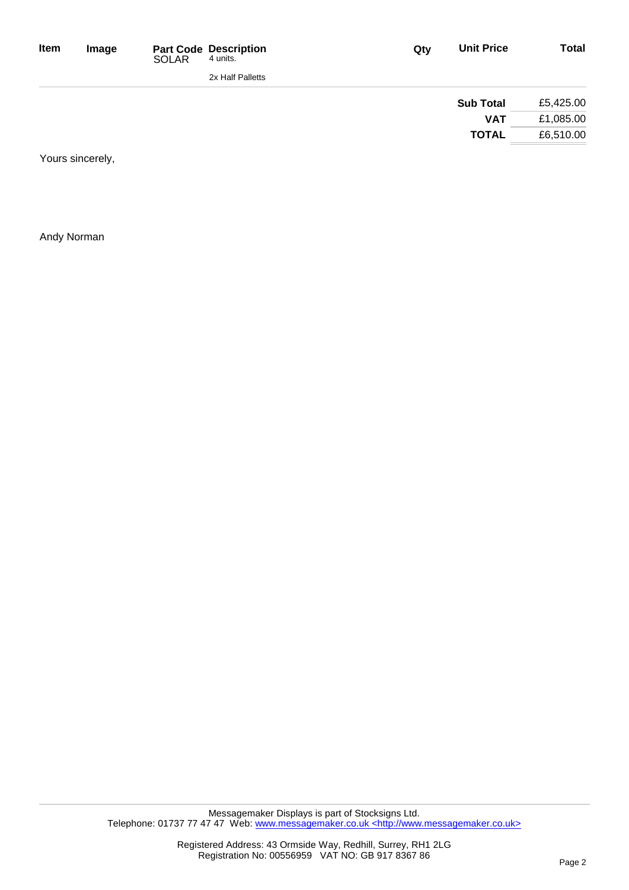| <b>Total</b> | <b>Unit Price</b> | Qty | <b>Part Code Description</b><br>4 units. | <b>SOLAR</b> | Image | Item |
|--------------|-------------------|-----|------------------------------------------|--------------|-------|------|
|              |                   |     | 2x Half Palletts                         |              |       |      |
| £5,425.00    | <b>Sub Total</b>  |     |                                          |              |       |      |
| £1,085.00    | <b>VAT</b>        |     |                                          |              |       |      |
| £6,510.00    | <b>TOTAL</b>      |     |                                          |              |       |      |

Yours sincerely,

Andy Norman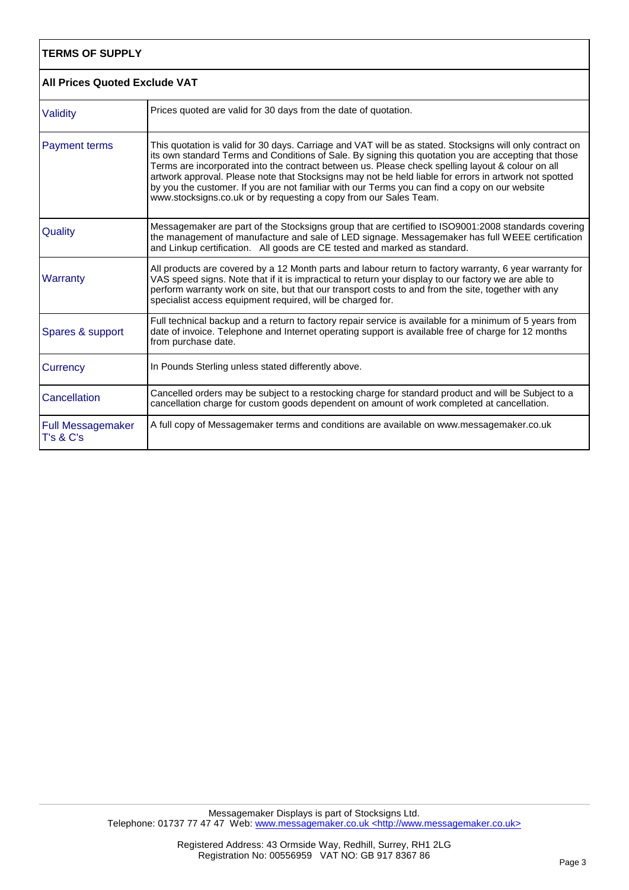| <b>TERMS OF SUPPLY</b><br><b>All Prices Quoted Exclude VAT</b> |                                                                                                                                                                                                                                                                                                                                                                                                                                                                                                                                                                                                          |  |
|----------------------------------------------------------------|----------------------------------------------------------------------------------------------------------------------------------------------------------------------------------------------------------------------------------------------------------------------------------------------------------------------------------------------------------------------------------------------------------------------------------------------------------------------------------------------------------------------------------------------------------------------------------------------------------|--|
|                                                                |                                                                                                                                                                                                                                                                                                                                                                                                                                                                                                                                                                                                          |  |
| <b>Payment terms</b>                                           | This quotation is valid for 30 days. Carriage and VAT will be as stated. Stocksigns will only contract on<br>its own standard Terms and Conditions of Sale. By signing this quotation you are accepting that those<br>Terms are incorporated into the contract between us. Please check spelling layout & colour on all<br>artwork approval. Please note that Stocksigns may not be held liable for errors in artwork not spotted<br>by you the customer. If you are not familiar with our Terms you can find a copy on our website<br>www.stocksigns.co.uk or by requesting a copy from our Sales Team. |  |
| Quality                                                        | Messagemaker are part of the Stocksigns group that are certified to ISO9001:2008 standards covering<br>the management of manufacture and sale of LED signage. Messagemaker has full WEEE certification<br>and Linkup certification. All goods are CE tested and marked as standard.                                                                                                                                                                                                                                                                                                                      |  |
| Warranty                                                       | All products are covered by a 12 Month parts and labour return to factory warranty, 6 year warranty for<br>VAS speed signs. Note that if it is impractical to return your display to our factory we are able to<br>perform warranty work on site, but that our transport costs to and from the site, together with any<br>specialist access equipment required, will be charged for.                                                                                                                                                                                                                     |  |
| Spares & support                                               | Full technical backup and a return to factory repair service is available for a minimum of 5 years from<br>date of invoice. Telephone and Internet operating support is available free of charge for 12 months<br>from purchase date.                                                                                                                                                                                                                                                                                                                                                                    |  |
| Currency                                                       | In Pounds Sterling unless stated differently above.                                                                                                                                                                                                                                                                                                                                                                                                                                                                                                                                                      |  |
| Cancellation                                                   | Cancelled orders may be subject to a restocking charge for standard product and will be Subject to a<br>cancellation charge for custom goods dependent on amount of work completed at cancellation.                                                                                                                                                                                                                                                                                                                                                                                                      |  |
| <b>Full Messagemaker</b><br>T's & C's                          | A full copy of Messagemaker terms and conditions are available on www.messagemaker.co.uk                                                                                                                                                                                                                                                                                                                                                                                                                                                                                                                 |  |